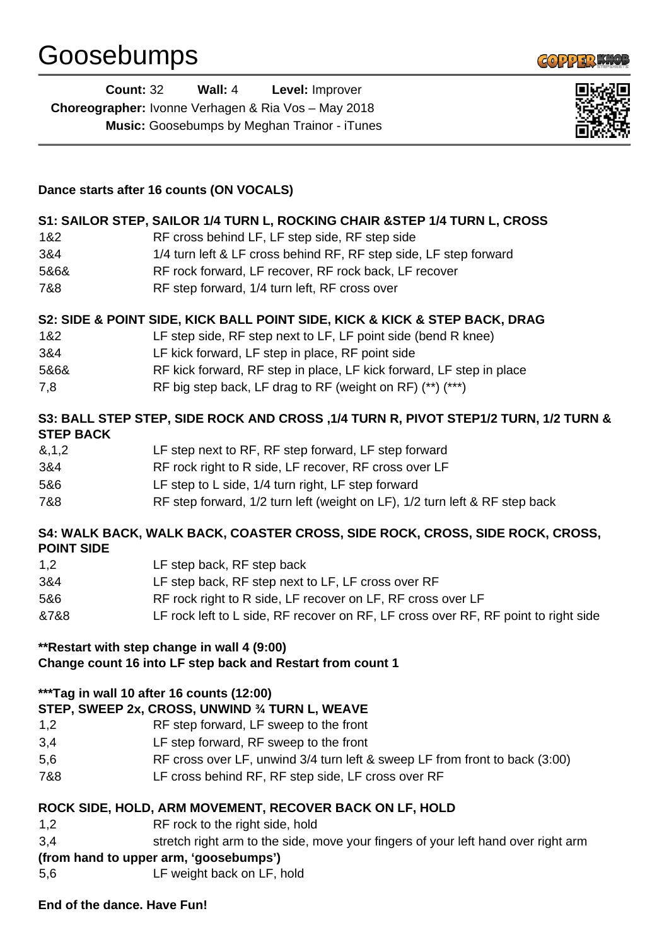

| <b>Count: 32</b>                                           | Wall: $4$ | <b>Level: Improver</b>                              |  |
|------------------------------------------------------------|-----------|-----------------------------------------------------|--|
| <b>Choreographer:</b> Ivonne Verhagen & Ria Vos - May 2018 |           |                                                     |  |
|                                                            |           | <b>Music:</b> Goosebumps by Meghan Trainor - iTunes |  |



## **Dance starts after 16 counts (ON VOCALS)**

#### **S1: SAILOR STEP, SAILOR 1/4 TURN L, ROCKING CHAIR &STEP 1/4 TURN L, CROSS**

- 1&2 RF cross behind LF, LF step side, RF step side
- 3&4 1/4 turn left & LF cross behind RF, RF step side, LF step forward
- 5&6& RF rock forward, LF recover, RF rock back, LF recover
- 7&8 RF step forward, 1/4 turn left, RF cross over

### **S2: SIDE & POINT SIDE, KICK BALL POINT SIDE, KICK & KICK & STEP BACK, DRAG**

- 1&2 LF step side, RF step next to LF, LF point side (bend R knee)
- 3&4 LF kick forward, LF step in place, RF point side
- 5&6& RF kick forward, RF step in place, LF kick forward, LF step in place
- 7,8 RF big step back, LF drag to RF (weight on RF) (\*\*) (\*\*\*)

### **S3: BALL STEP STEP, SIDE ROCK AND CROSS ,1/4 TURN R, PIVOT STEP1/2 TURN, 1/2 TURN & STEP BACK**

| 8,1,2 | LF step next to RF, RF step forward, LF step forward                        |
|-------|-----------------------------------------------------------------------------|
| 3&4   | RF rock right to R side, LF recover, RF cross over LF                       |
| 5&6   | LF step to L side, 1/4 turn right, LF step forward                          |
| 7&8   | RF step forward, 1/2 turn left (weight on LF), 1/2 turn left & RF step back |

### **S4: WALK BACK, WALK BACK, COASTER CROSS, SIDE ROCK, CROSS, SIDE ROCK, CROSS, POINT SIDE**

| LF step back, RF step next to LF, LF cross over RF                                 |
|------------------------------------------------------------------------------------|
| RF rock right to R side, LF recover on LF, RF cross over LF                        |
| LF rock left to L side, RF recover on RF, LF cross over RF, RF point to right side |
|                                                                                    |

# **\*\*Restart with step change in wall 4 (9:00)**

### **Change count 16 into LF step back and Restart from count 1**

### **\*\*\*Tag in wall 10 after 16 counts (12:00)**

## **STEP, SWEEP 2x, CROSS, UNWIND ¾ TURN L, WEAVE**

- 1,2 RF step forward, LF sweep to the front
- 3,4 LF step forward, RF sweep to the front
- 5,6 RF cross over LF, unwind 3/4 turn left & sweep LF from front to back (3:00)
- 7&8 LF cross behind RF, RF step side, LF cross over RF

### **ROCK SIDE, HOLD, ARM MOVEMENT, RECOVER BACK ON LF, HOLD**

- 1,2 RF rock to the right side, hold
- 3,4 stretch right arm to the side, move your fingers of your left hand over right arm

### **(from hand to upper arm, 'goosebumps')**

5,6 LF weight back on LF, hold

#### **End of the dance. Have Fun!**